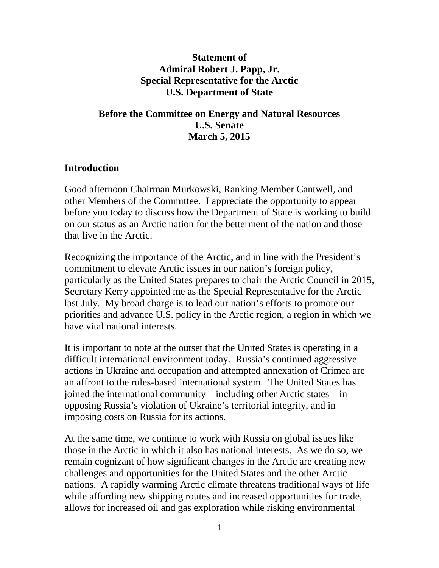### **Statement of Admiral Robert J. Papp, Jr. Special Representative for the Arctic U.S. Department of State**

### **Before the Committee on Energy and Natural Resources U.S. Senate March 5, 2015**

### **Introduction**

Good afternoon Chairman Murkowski, Ranking Member Cantwell, and other Members of the Committee. I appreciate the opportunity to appear before you today to discuss how the Department of State is working to build on our status as an Arctic nation for the betterment of the nation and those that live in the Arctic.

Recognizing the importance of the Arctic, and in line with the President's commitment to elevate Arctic issues in our nation's foreign policy, particularly as the United States prepares to chair the Arctic Council in 2015, Secretary Kerry appointed me as the Special Representative for the Arctic last July. My broad charge is to lead our nation's efforts to promote our priorities and advance U.S. policy in the Arctic region, a region in which we have vital national interests.

It is important to note at the outset that the United States is operating in a difficult international environment today. Russia's continued aggressive actions in Ukraine and occupation and attempted annexation of Crimea are an affront to the rules-based international system. The United States has joined the international community – including other Arctic states – in opposing Russia's violation of Ukraine's territorial integrity, and in imposing costs on Russia for its actions.

At the same time, we continue to work with Russia on global issues like those in the Arctic in which it also has national interests. As we do so, we remain cognizant of how significant changes in the Arctic are creating new challenges and opportunities for the United States and the other Arctic nations. A rapidly warming Arctic climate threatens traditional ways of life while affording new shipping routes and increased opportunities for trade, allows for increased oil and gas exploration while risking environmental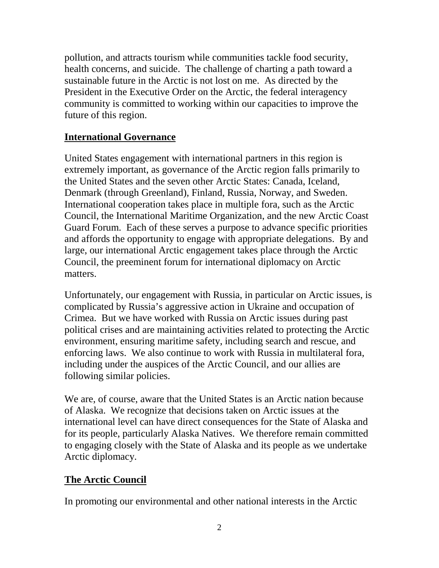pollution, and attracts tourism while communities tackle food security, health concerns, and suicide. The challenge of charting a path toward a sustainable future in the Arctic is not lost on me. As directed by the President in the Executive Order on the Arctic, the federal interagency community is committed to working within our capacities to improve the future of this region.

### **International Governance**

United States engagement with international partners in this region is extremely important, as governance of the Arctic region falls primarily to the United States and the seven other Arctic States: Canada, Iceland, Denmark (through Greenland), Finland, Russia, Norway, and Sweden. International cooperation takes place in multiple fora, such as the Arctic Council, the International Maritime Organization, and the new Arctic Coast Guard Forum. Each of these serves a purpose to advance specific priorities and affords the opportunity to engage with appropriate delegations. By and large, our international Arctic engagement takes place through the Arctic Council, the preeminent forum for international diplomacy on Arctic matters.

Unfortunately, our engagement with Russia, in particular on Arctic issues, is complicated by Russia's aggressive action in Ukraine and occupation of Crimea. But we have worked with Russia on Arctic issues during past political crises and are maintaining activities related to protecting the Arctic environment, ensuring maritime safety, including search and rescue, and enforcing laws. We also continue to work with Russia in multilateral fora, including under the auspices of the Arctic Council, and our allies are following similar policies.

We are, of course, aware that the United States is an Arctic nation because of Alaska. We recognize that decisions taken on Arctic issues at the international level can have direct consequences for the State of Alaska and for its people, particularly Alaska Natives. We therefore remain committed to engaging closely with the State of Alaska and its people as we undertake Arctic diplomacy.

# **The Arctic Council**

In promoting our environmental and other national interests in the Arctic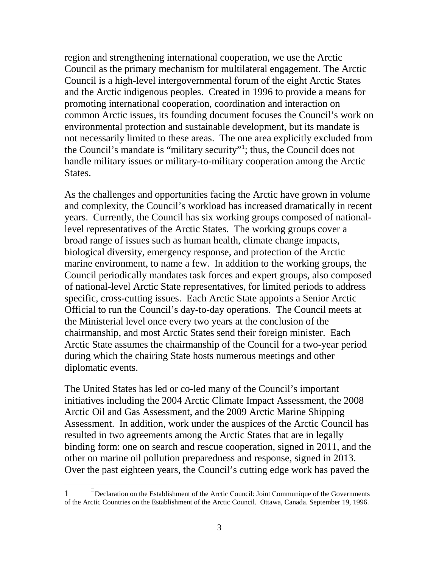region and strengthening international cooperation, we use the Arctic Council as the primary mechanism for multilateral engagement. The Arctic Council is a high-level intergovernmental forum of the eight Arctic States and the Arctic indigenous peoples. Created in 1996 to provide a means for promoting international cooperation, coordination and interaction on common Arctic issues, its founding document focuses the Council's work on environmental protection and sustainable development, but its mandate is not necessarily limited to these areas. The one area explicitly excluded from the Council's mandate is "military security"[1](#page-2-0) ; thus, the Council does not handle military issues or military-to-military cooperation among the Arctic States.

As the challenges and opportunities facing the Arctic have grown in volume and complexity, the Council's workload has increased dramatically in recent years. Currently, the Council has six working groups composed of nationallevel representatives of the Arctic States. The working groups cover a broad range of issues such as human health, climate change impacts, biological diversity, emergency response, and protection of the Arctic marine environment, to name a few. In addition to the working groups, the Council periodically mandates task forces and expert groups, also composed of national-level Arctic State representatives, for limited periods to address specific, cross-cutting issues. Each Arctic State appoints a Senior Arctic Official to run the Council's day-to-day operations. The Council meets at the Ministerial level once every two years at the conclusion of the chairmanship, and most Arctic States send their foreign minister. Each Arctic State assumes the chairmanship of the Council for a two-year period during which the chairing State hosts numerous meetings and other diplomatic events.

The United States has led or co-led many of the Council's important initiatives including the 2004 Arctic Climate Impact Assessment, the 2008 Arctic Oil and Gas Assessment, and the 2009 Arctic Marine Shipping Assessment. In addition, work under the auspices of the Arctic Council has resulted in two agreements among the Arctic States that are in legally binding form: one on search and rescue cooperation, signed in 2011, and the other on marine oil pollution preparedness and response, signed in 2013. Over the past eighteen years, the Council's cutting edge work has paved the

 $\overline{a}$ 

<span id="page-2-0"></span><sup>1</sup> Declaration on the Establishment of the Arctic Council: Joint Communique of the Governments of the Arctic Countries on the Establishment of the Arctic Council. Ottawa, Canada. September 19, 1996.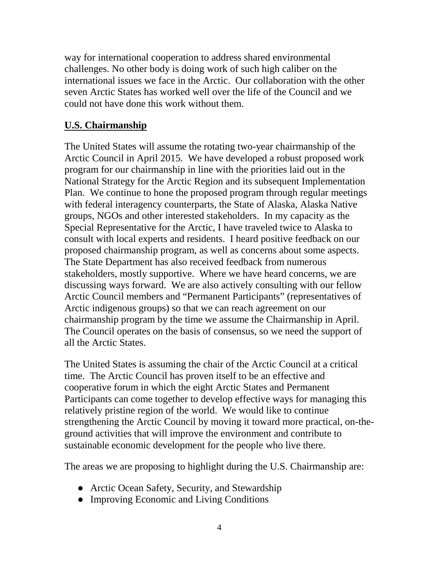way for international cooperation to address shared environmental challenges. No other body is doing work of such high caliber on the international issues we face in the Arctic. Our collaboration with the other seven Arctic States has worked well over the life of the Council and we could not have done this work without them.

# **U.S. Chairmanship**

The United States will assume the rotating two-year chairmanship of the Arctic Council in April 2015. We have developed a robust proposed work program for our chairmanship in line with the priorities laid out in the National Strategy for the Arctic Region and its subsequent Implementation Plan. We continue to hone the proposed program through regular meetings with federal interagency counterparts, the State of Alaska, Alaska Native groups, NGOs and other interested stakeholders. In my capacity as the Special Representative for the Arctic, I have traveled twice to Alaska to consult with local experts and residents. I heard positive feedback on our proposed chairmanship program, as well as concerns about some aspects. The State Department has also received feedback from numerous stakeholders, mostly supportive. Where we have heard concerns, we are discussing ways forward. We are also actively consulting with our fellow Arctic Council members and "Permanent Participants" (representatives of Arctic indigenous groups) so that we can reach agreement on our chairmanship program by the time we assume the Chairmanship in April. The Council operates on the basis of consensus, so we need the support of all the Arctic States.

The United States is assuming the chair of the Arctic Council at a critical time. The Arctic Council has proven itself to be an effective and cooperative forum in which the eight Arctic States and Permanent Participants can come together to develop effective ways for managing this relatively pristine region of the world. We would like to continue strengthening the Arctic Council by moving it toward more practical, on-theground activities that will improve the environment and contribute to sustainable economic development for the people who live there.

The areas we are proposing to highlight during the U.S. Chairmanship are:

- Arctic Ocean Safety, Security, and Stewardship
- Improving Economic and Living Conditions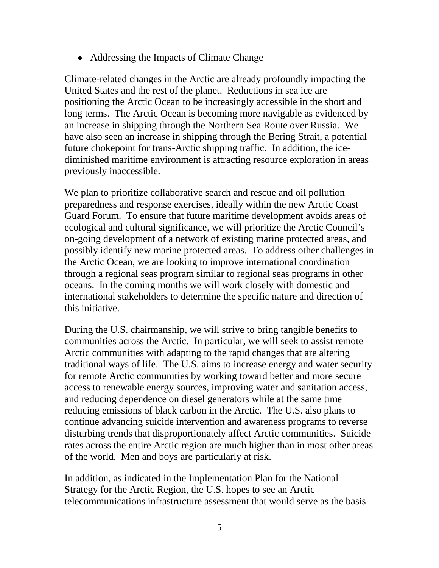• Addressing the Impacts of Climate Change

Climate-related changes in the Arctic are already profoundly impacting the United States and the rest of the planet. Reductions in sea ice are positioning the Arctic Ocean to be increasingly accessible in the short and long terms. The Arctic Ocean is becoming more navigable as evidenced by an increase in shipping through the Northern Sea Route over Russia. We have also seen an increase in shipping through the Bering Strait, a potential future chokepoint for trans-Arctic shipping traffic. In addition, the icediminished maritime environment is attracting resource exploration in areas previously inaccessible.

We plan to prioritize collaborative search and rescue and oil pollution preparedness and response exercises, ideally within the new Arctic Coast Guard Forum. To ensure that future maritime development avoids areas of ecological and cultural significance, we will prioritize the Arctic Council's on-going development of a network of existing marine protected areas, and possibly identify new marine protected areas. To address other challenges in the Arctic Ocean, we are looking to improve international coordination through a regional seas program similar to regional seas programs in other oceans. In the coming months we will work closely with domestic and international stakeholders to determine the specific nature and direction of this initiative.

During the U.S. chairmanship, we will strive to bring tangible benefits to communities across the Arctic. In particular, we will seek to assist remote Arctic communities with adapting to the rapid changes that are altering traditional ways of life. The U.S. aims to increase energy and water security for remote Arctic communities by working toward better and more secure access to renewable energy sources, improving water and sanitation access, and reducing dependence on diesel generators while at the same time reducing emissions of black carbon in the Arctic. The U.S. also plans to continue advancing suicide intervention and awareness programs to reverse disturbing trends that disproportionately affect Arctic communities. Suicide rates across the entire Arctic region are much higher than in most other areas of the world. Men and boys are particularly at risk.

In addition, as indicated in the Implementation Plan for the National Strategy for the Arctic Region, the U.S. hopes to see an Arctic telecommunications infrastructure assessment that would serve as the basis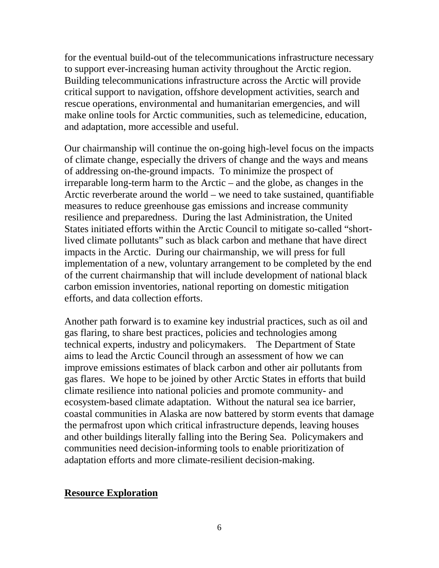for the eventual build-out of the telecommunications infrastructure necessary to support ever-increasing human activity throughout the Arctic region. Building telecommunications infrastructure across the Arctic will provide critical support to navigation, offshore development activities, search and rescue operations, environmental and humanitarian emergencies, and will make online tools for Arctic communities, such as telemedicine, education, and adaptation, more accessible and useful.

Our chairmanship will continue the on-going high-level focus on the impacts of climate change, especially the drivers of change and the ways and means of addressing on-the-ground impacts. To minimize the prospect of irreparable long-term harm to the Arctic – and the globe, as changes in the Arctic reverberate around the world – we need to take sustained, quantifiable measures to reduce greenhouse gas emissions and increase community resilience and preparedness. During the last Administration, the United States initiated efforts within the Arctic Council to mitigate so-called "shortlived climate pollutants" such as black carbon and methane that have direct impacts in the Arctic. During our chairmanship, we will press for full implementation of a new, voluntary arrangement to be completed by the end of the current chairmanship that will include development of national black carbon emission inventories, national reporting on domestic mitigation efforts, and data collection efforts.

Another path forward is to examine key industrial practices, such as oil and gas flaring, to share best practices, policies and technologies among technical experts, industry and policymakers. The Department of State aims to lead the Arctic Council through an assessment of how we can improve emissions estimates of black carbon and other air pollutants from gas flares. We hope to be joined by other Arctic States in efforts that build climate resilience into national policies and promote community- and ecosystem-based climate adaptation. Without the natural sea ice barrier, coastal communities in Alaska are now battered by storm events that damage the permafrost upon which critical infrastructure depends, leaving houses and other buildings literally falling into the Bering Sea. Policymakers and communities need decision-informing tools to enable prioritization of adaptation efforts and more climate-resilient decision-making.

### **Resource Exploration**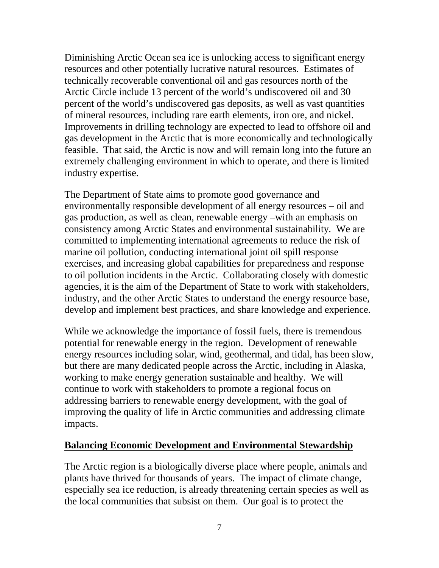Diminishing Arctic Ocean sea ice is unlocking access to significant energy resources and other potentially lucrative natural resources. Estimates of technically recoverable conventional oil and gas resources north of the Arctic Circle include 13 percent of the world's undiscovered oil and 30 percent of the world's undiscovered gas deposits, as well as vast quantities of mineral resources, including rare earth elements, iron ore, and nickel. Improvements in drilling technology are expected to lead to offshore oil and gas development in the Arctic that is more economically and technologically feasible. That said, the Arctic is now and will remain long into the future an extremely challenging environment in which to operate, and there is limited industry expertise.

The Department of State aims to promote good governance and environmentally responsible development of all energy resources – oil and gas production, as well as clean, renewable energy –with an emphasis on consistency among Arctic States and environmental sustainability. We are committed to implementing international agreements to reduce the risk of marine oil pollution, conducting international joint oil spill response exercises, and increasing global capabilities for preparedness and response to oil pollution incidents in the Arctic. Collaborating closely with domestic agencies, it is the aim of the Department of State to work with stakeholders, industry, and the other Arctic States to understand the energy resource base, develop and implement best practices, and share knowledge and experience.

While we acknowledge the importance of fossil fuels, there is tremendous potential for renewable energy in the region. Development of renewable energy resources including solar, wind, geothermal, and tidal, has been slow, but there are many dedicated people across the Arctic, including in Alaska, working to make energy generation sustainable and healthy. We will continue to work with stakeholders to promote a regional focus on addressing barriers to renewable energy development, with the goal of improving the quality of life in Arctic communities and addressing climate impacts.

### **Balancing Economic Development and Environmental Stewardship**

The Arctic region is a biologically diverse place where people, animals and plants have thrived for thousands of years. The impact of climate change, especially sea ice reduction, is already threatening certain species as well as the local communities that subsist on them. Our goal is to protect the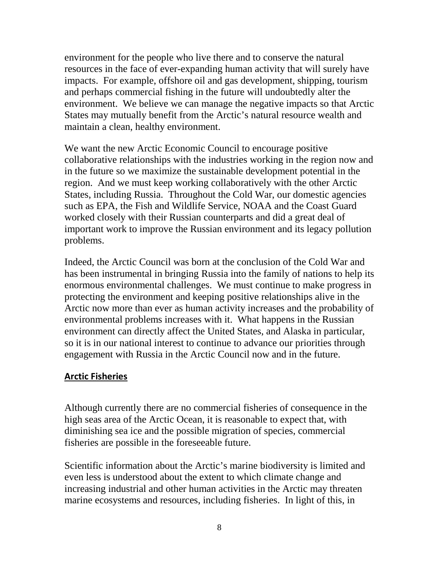environment for the people who live there and to conserve the natural resources in the face of ever-expanding human activity that will surely have impacts. For example, offshore oil and gas development, shipping, tourism and perhaps commercial fishing in the future will undoubtedly alter the environment. We believe we can manage the negative impacts so that Arctic States may mutually benefit from the Arctic's natural resource wealth and maintain a clean, healthy environment.

We want the new Arctic Economic Council to encourage positive collaborative relationships with the industries working in the region now and in the future so we maximize the sustainable development potential in the region. And we must keep working collaboratively with the other Arctic States, including Russia. Throughout the Cold War, our domestic agencies such as EPA, the Fish and Wildlife Service, NOAA and the Coast Guard worked closely with their Russian counterparts and did a great deal of important work to improve the Russian environment and its legacy pollution problems.

Indeed, the Arctic Council was born at the conclusion of the Cold War and has been instrumental in bringing Russia into the family of nations to help its enormous environmental challenges. We must continue to make progress in protecting the environment and keeping positive relationships alive in the Arctic now more than ever as human activity increases and the probability of environmental problems increases with it. What happens in the Russian environment can directly affect the United States, and Alaska in particular, so it is in our national interest to continue to advance our priorities through engagement with Russia in the Arctic Council now and in the future.

#### **Arctic Fisheries**

Although currently there are no commercial fisheries of consequence in the high seas area of the Arctic Ocean, it is reasonable to expect that, with diminishing sea ice and the possible migration of species, commercial fisheries are possible in the foreseeable future.

Scientific information about the Arctic's marine biodiversity is limited and even less is understood about the extent to which climate change and increasing industrial and other human activities in the Arctic may threaten marine ecosystems and resources, including fisheries. In light of this, in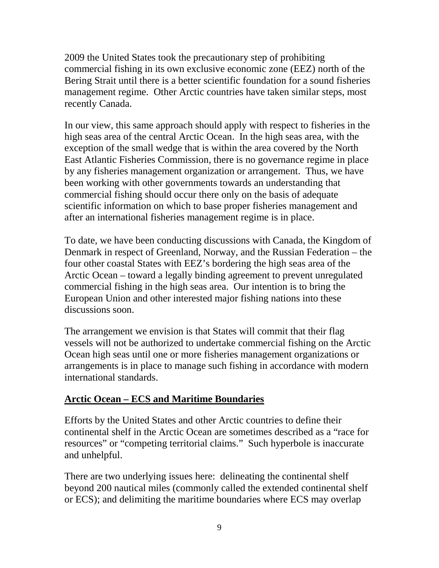2009 the United States took the precautionary step of prohibiting commercial fishing in its own exclusive economic zone (EEZ) north of the Bering Strait until there is a better scientific foundation for a sound fisheries management regime. Other Arctic countries have taken similar steps, most recently Canada.

In our view, this same approach should apply with respect to fisheries in the high seas area of the central Arctic Ocean. In the high seas area, with the exception of the small wedge that is within the area covered by the North East Atlantic Fisheries Commission, there is no governance regime in place by any fisheries management organization or arrangement. Thus, we have been working with other governments towards an understanding that commercial fishing should occur there only on the basis of adequate scientific information on which to base proper fisheries management and after an international fisheries management regime is in place.

To date, we have been conducting discussions with Canada, the Kingdom of Denmark in respect of Greenland, Norway, and the Russian Federation – the four other coastal States with EEZ's bordering the high seas area of the Arctic Ocean – toward a legally binding agreement to prevent unregulated commercial fishing in the high seas area. Our intention is to bring the European Union and other interested major fishing nations into these discussions soon.

The arrangement we envision is that States will commit that their flag vessels will not be authorized to undertake commercial fishing on the Arctic Ocean high seas until one or more fisheries management organizations or arrangements is in place to manage such fishing in accordance with modern international standards.

# **Arctic Ocean – ECS and Maritime Boundaries**

Efforts by the United States and other Arctic countries to define their continental shelf in the Arctic Ocean are sometimes described as a "race for resources" or "competing territorial claims." Such hyperbole is inaccurate and unhelpful.

There are two underlying issues here: delineating the continental shelf beyond 200 nautical miles (commonly called the extended continental shelf or ECS); and delimiting the maritime boundaries where ECS may overlap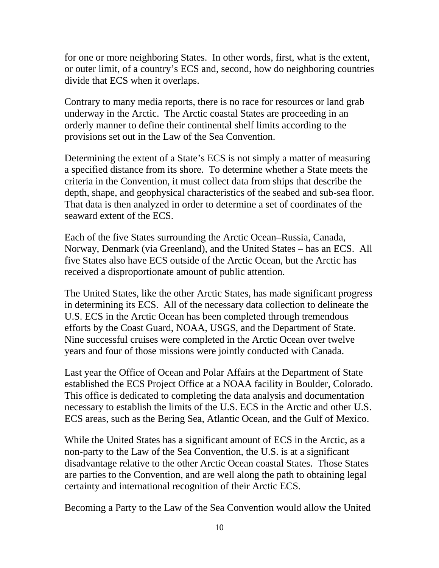for one or more neighboring States. In other words, first, what is the extent, or outer limit, of a country's ECS and, second, how do neighboring countries divide that ECS when it overlaps.

Contrary to many media reports, there is no race for resources or land grab underway in the Arctic. The Arctic coastal States are proceeding in an orderly manner to define their continental shelf limits according to the provisions set out in the Law of the Sea Convention.

Determining the extent of a State's ECS is not simply a matter of measuring a specified distance from its shore. To determine whether a State meets the criteria in the Convention, it must collect data from ships that describe the depth, shape, and geophysical characteristics of the seabed and sub-sea floor. That data is then analyzed in order to determine a set of coordinates of the seaward extent of the ECS.

Each of the five States surrounding the Arctic Ocean–Russia, Canada, Norway, Denmark (via Greenland), and the United States – has an ECS. All five States also have ECS outside of the Arctic Ocean, but the Arctic has received a disproportionate amount of public attention.

The United States, like the other Arctic States, has made significant progress in determining its ECS. All of the necessary data collection to delineate the U.S. ECS in the Arctic Ocean has been completed through tremendous efforts by the Coast Guard, NOAA, USGS, and the Department of State. Nine successful cruises were completed in the Arctic Ocean over twelve years and four of those missions were jointly conducted with Canada.

Last year the Office of Ocean and Polar Affairs at the Department of State established the ECS Project Office at a NOAA facility in Boulder, Colorado. This office is dedicated to completing the data analysis and documentation necessary to establish the limits of the U.S. ECS in the Arctic and other U.S. ECS areas, such as the Bering Sea, Atlantic Ocean, and the Gulf of Mexico.

While the United States has a significant amount of ECS in the Arctic, as a non-party to the Law of the Sea Convention, the U.S. is at a significant disadvantage relative to the other Arctic Ocean coastal States. Those States are parties to the Convention, and are well along the path to obtaining legal certainty and international recognition of their Arctic ECS.

Becoming a Party to the Law of the Sea Convention would allow the United